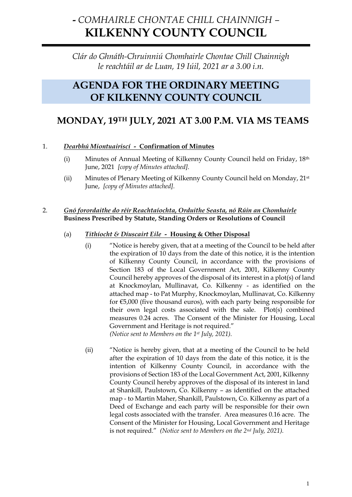# **-** *COMHAIRLE CHONTAE CHILL CHAINNIGH –* **KILKENNY COUNTY COUNCIL**

*Clár do Ghnáth-Chruinniú Chomhairle Chontae Chill Chainnigh le reachtáil ar de Luan, 19 Iúil, 2021 ar a 3.00 i.n.*

## **AGENDA FOR THE ORDINARY MEETING OF KILKENNY COUNTY COUNCIL**

## **MONDAY, 19TH JULY, 2021 AT 3.00 P.M. VIA MS TEAMS**

## 1. *Dearbhú Miontuairiscí -* **Confirmation of Minutes**

- (i) Minutes of Annual Meeting of Kilkenny County Council held on Friday, 18th June, 2021 *[copy of Minutes attached].*
- (ii) Minutes of Plenary Meeting of Kilkenny County Council held on Monday, 21st June, *[copy of Minutes attached].*

#### 2. *Gnó forordaithe do réir Reachtaíochta, Orduithe Seasta, nó Rúin an Chomhairle* **Business Prescribed by Statute, Standing Orders or Resolutions of Council**

## (a) *Tithíocht & Díuscairt Eile -* **Housing & Other Disposal**

(i) "Notice is hereby given, that at a meeting of the Council to be held after the expiration of 10 days from the date of this notice, it is the intention of Kilkenny County Council, in accordance with the provisions of Section 183 of the Local Government Act, 2001, Kilkenny County Council hereby approves of the disposal of its interest in a plot(s) of land at Knockmoylan, Mullinavat, Co. Kilkenny - as identified on the attached map - to Pat Murphy, Knockmoylan, Mullinavat, Co. Kilkenny for €5,000 (five thousand euros), with each party being responsible for their own legal costs associated with the sale. Plot(s) combined measures 0.24 acres. The Consent of the Minister for Housing, Local Government and Heritage is not required." *(Notice sent to Members on the 1st July, 2021).*

(ii) "Notice is hereby given, that at a meeting of the Council to be held after the expiration of 10 days from the date of this notice, it is the intention of Kilkenny County Council, in accordance with the provisions of Section 183 of the Local Government Act, 2001, Kilkenny County Council hereby approves of the disposal of its interest in land at Shankill, Paulstown, Co. Kilkenny – as identified on the attached map - to Martin Maher, Shankill, Paulstown, Co. Kilkenny as part of a Deed of Exchange and each party will be responsible for their own legal costs associated with the transfer. Area measures 0.16 acre. The Consent of the Minister for Housing, Local Government and Heritage is not required." *(Notice sent to Members on the 2nd July, 2021).*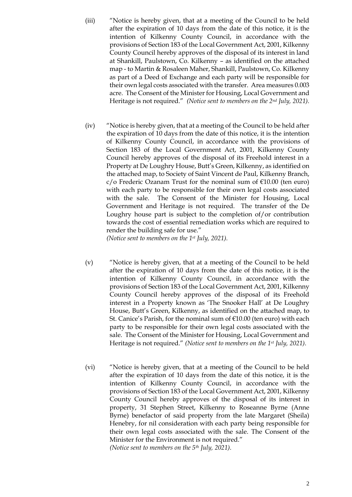- (iii) "Notice is hereby given, that at a meeting of the Council to be held after the expiration of 10 days from the date of this notice, it is the intention of Kilkenny County Council, in accordance with the provisions of Section 183 of the Local Government Act, 2001, Kilkenny County Council hereby approves of the disposal of its interest in land at Shankill, Paulstown, Co. Kilkenny – as identified on the attached map - to Martin & Rosaleen Maher, Shankill, Paulstown, Co. Kilkenny as part of a Deed of Exchange and each party will be responsible for their own legal costs associated with the transfer. Area measures 0.003 acre. The Consent of the Minister for Housing, Local Government and Heritage is not required." *(Notice sent to members on the 2nd July, 2021).*
- (iv) "Notice is hereby given, that at a meeting of the Council to be held after the expiration of 10 days from the date of this notice, it is the intention of Kilkenny County Council, in accordance with the provisions of Section 183 of the Local Government Act, 2001, Kilkenny County Council hereby approves of the disposal of its Freehold interest in a Property at De Loughry House, Butt's Green, Kilkenny, as identified on the attached map, to Society of Saint Vincent de Paul, Kilkenny Branch,  $c$  Frederic Ozanam Trust for the nominal sum of  $\epsilon$ 10.00 (ten euro) with each party to be responsible for their own legal costs associated with the sale. The Consent of the Minister for Housing, Local Government and Heritage is not required. The transfer of the De Loughry house part is subject to the completion of/or contribution towards the cost of essential remediation works which are required to render the building safe for use."

*(Notice sent to members on the 1st July, 2021).*

- (v) "Notice is hereby given, that at a meeting of the Council to be held after the expiration of 10 days from the date of this notice, it is the intention of Kilkenny County Council, in accordance with the provisions of Section 183 of the Local Government Act, 2001, Kilkenny County Council hereby approves of the disposal of its Freehold interest in a Property known as 'The Snooker Hall' at De Loughry House, Butt's Green, Kilkenny, as identified on the attached map, to St. Canice's Parish, for the nominal sum of €10.00 (ten euro) with each party to be responsible for their own legal costs associated with the sale. The Consent of the Minister for Housing, Local Government and Heritage is not required." *(Notice sent to members on the 1st July, 2021).*
- (vi) "Notice is hereby given, that at a meeting of the Council to be held after the expiration of 10 days from the date of this notice, it is the intention of Kilkenny County Council, in accordance with the provisions of Section 183 of the Local Government Act, 2001, Kilkenny County Council hereby approves of the disposal of its interest in property, 31 Stephen Street, Kilkenny to Roseanne Byrne (Anne Byrne) benefactor of said property from the late Margaret (Sheila) Henebry, for nil consideration with each party being responsible for their own legal costs associated with the sale. The Consent of the Minister for the Environment is not required." *(Notice sent to members on the 5th July, 2021).*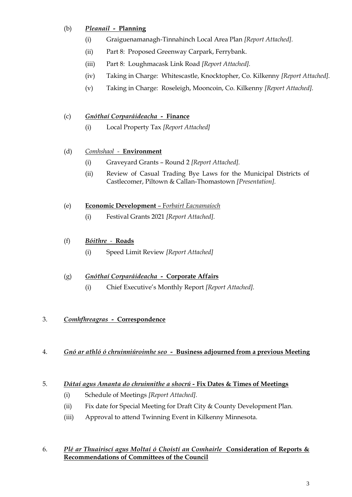## (b) *Pleanail -* **Planning**

- (i) Graiguenamanagh-Tinnahinch Local Area Plan *[Report Attached].*
- (ii) Part 8: Proposed Greenway Carpark, Ferrybank.
- (iii) Part 8: Loughmacask Link Road *[Report Attached].*
- (iv) Taking in Charge: Whitescastle, Knocktopher, Co. Kilkenny *[Report Attached].*
- (v) Taking in Charge: Roseleigh, Mooncoin, Co. Kilkenny *[Report Attached].*

## (c) *Gnóthaí Corparáideacha -* **Finance**

(i) Local Property Tax *[Report Attached]*

## (d) *Comhshaol -* **Environment**

- (i) Graveyard Grants Round 2 *[Report Attached].*
- (ii) Review of Casual Trading Bye Laws for the Municipal Districts of Castlecomer, Piltown & Callan-Thomastown *[Presentation].*

#### (e) **Economic Development** – F*orbairt Eacnamaíoch*

(i) Festival Grants 2021 *[Report Attached].*

## (f) *Bóithre**-* **Roads**

(i) Speed Limit Review *[Report Attached]*

#### (g) *Gnóthaí Corparáideacha -* **Corporate Affairs**

(i) Chief Executive's Monthly Report *[Report Attached].*

## 3. *Comhfhreagras -* **Correspondence**

4. *Gnó ar athló ó chruinniúroimhe seo -* **Business adjourned from a previous Meeting**

## 5. *Dátaí agus Amanta do chruinnithe a shocrú -* **Fix Dates & Times of Meetings**

- (i) Schedule of Meetings *[Report Attached].*
- (ii) Fix date for Special Meeting for Draft City & County Development Plan*.*
- (iii) Approval to attend Twinning Event in Kilkenny Minnesota.

#### 6. *Plé ar Thuairiscí agus Moltaí ó Choistí an Comhairle* **Consideration of Reports & Recommendations of Committees of the Council**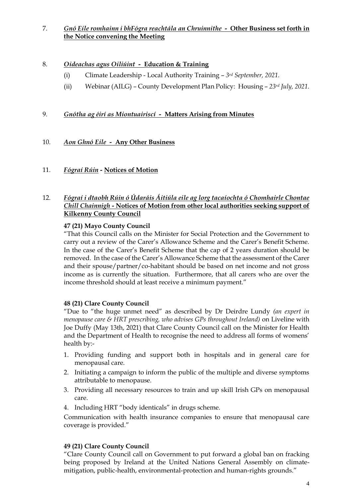## 7. *Gnó Eile romhainn i bhFógra reachtála an Chruinnithe -* **Other Business set forth in the Notice convening the Meeting**

### 8. *Oideachas agus Oiliúint -* **Education & Training**

- (i) Climate Leadership Local Authority Training *3rd September, 2021.*
- (ii) Webinar (AILG) County Development Plan Policy: Housing *23rd July, 2021.*

## 9. *Gnótha ag éirí as Miontuairiscí -* **Matters Arising from Minutes**

## 10. *Aon Ghnó Eile -* **Any Other Business**

11. *Fógraí Rúin -* **Notices of Motion**

#### 12. *Fógraí i dtaobh Rúin ó Údaráis Áitiúla eile ag lorg tacaíochta ó Chomhairle Chontae Chill Chainnigh -* **Notices of Motion from other local authorities seeking support of Kilkenny County Council**

#### **47 (21) Mayo County Council**

"That this Council calls on the Minister for Social Protection and the Government to carry out a review of the Carer's Allowance Scheme and the Carer's Benefit Scheme. In the case of the Carer's Benefit Scheme that the cap of 2 years duration should be removed. In the case of the Carer's Allowance Scheme that the assessment of the Carer and their spouse/partner/co-habitant should be based on net income and not gross income as is currently the situation. Furthermore, that all carers who are over the income threshold should at least receive a minimum payment."

#### **48 (21) Clare County Council**

"Due to "the huge unmet need" as described by Dr Deirdre Lundy *(an expert in menopause care & HRT prescribing, who advises GPs throughout Ireland)* on Liveline with Joe Duffy (May 13th, 2021) that Clare County Council call on the Minister for Health and the Department of Health to recognise the need to address all forms of womens' health by:-

- 1. Providing funding and support both in hospitals and in general care for menopausal care.
- 2. Initiating a campaign to inform the public of the multiple and diverse symptoms attributable to menopause.
- 3. Providing all necessary resources to train and up skill Irish GPs on menopausal care.
- 4. Including HRT "body identicals" in drugs scheme.

Communication with health insurance companies to ensure that menopausal care coverage is provided."

#### **49 (21) Clare County Council**

"Clare County Council call on Government to put forward a global ban on fracking being proposed by Ireland at the United Nations General Assembly on climatemitigation, public-health, environmental-protection and human-rights grounds."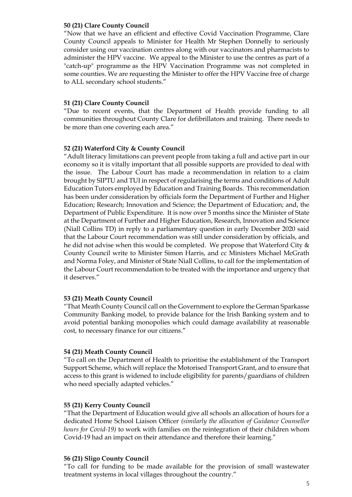#### **50 (21) Clare County Council**

"Now that we have an efficient and effective Covid Vaccination Programme, Clare County Council appeals to Minister for Health Mr Stephen Donnelly to seriously consider using our vaccination centres along with our vaccinators and pharmacists to administer the HPV vaccine. We appeal to the Minister to use the centres as part of a "catch-up" programme as the HPV Vaccination Programme was not completed in some counties. We are requesting the Minister to offer the HPV Vaccine free of charge to ALL secondary school students."

#### **51 (21) Clare County Council**

"Due to recent events, that the Department of Health provide funding to all communities throughout County Clare for defibrillators and training. There needs to be more than one covering each area."

#### **52 (21) Waterford City & County Council**

"Adult literacy limitations can prevent people from taking a full and active part in our economy so it is vitally important that all possible supports are provided to deal with the issue. The Labour Court has made a recommendation in relation to a claim brought by SIPTU and TUI in respect of regularising the terms and conditions of Adult Education Tutors employed by Education and Training Boards. This recommendation has been under consideration by officials form the Department of Further and Higher Education; Research; Innovation and Science; the Department of Education; and, the Department of Public Expenditure. It is now over 5 months since the Minister of State at the Department of Further and Higher Education, Research, Innovation and Science (Niall Collins TD) in reply to a parliamentary question in early December 2020 said that the Labour Court recommendation was still under consideration by officials, and he did not advise when this would be completed. We propose that Waterford City & County Council write to Minister Simon Harris, and cc Ministers Michael McGrath and Norma Foley, and Minister of State Niall Collins, to call for the implementation of the Labour Court recommendation to be treated with the importance and urgency that it deserves."

#### **53 (21) Meath County Council**

"That Meath County Council call on the Government to explore the German Sparkasse Community Banking model, to provide balance for the Irish Banking system and to avoid potential banking monopolies which could damage availability at reasonable cost, to necessary finance for our citizens."

#### **54 (21) Meath County Council**

"To call on the Department of Health to prioritise the establishment of the Transport Support Scheme, which will replace the Motorised Transport Grant, and to ensure that access to this grant is widened to include eligibility for parents/guardians of children who need specially adapted vehicles."

#### **55 (21) Kerry County Council**

"That the Department of Education would give all schools an allocation of hours for a dedicated Home School Liaison Officer *(similarly the allocation of Guidance Counsellor hours for Covid-19)* to work with families on the reintegration of their children whom Covid-19 had an impact on their attendance and therefore their learning."

#### **56 (21) Sligo County Council**

"To call for funding to be made available for the provision of small wastewater treatment systems in local villages throughout the country."